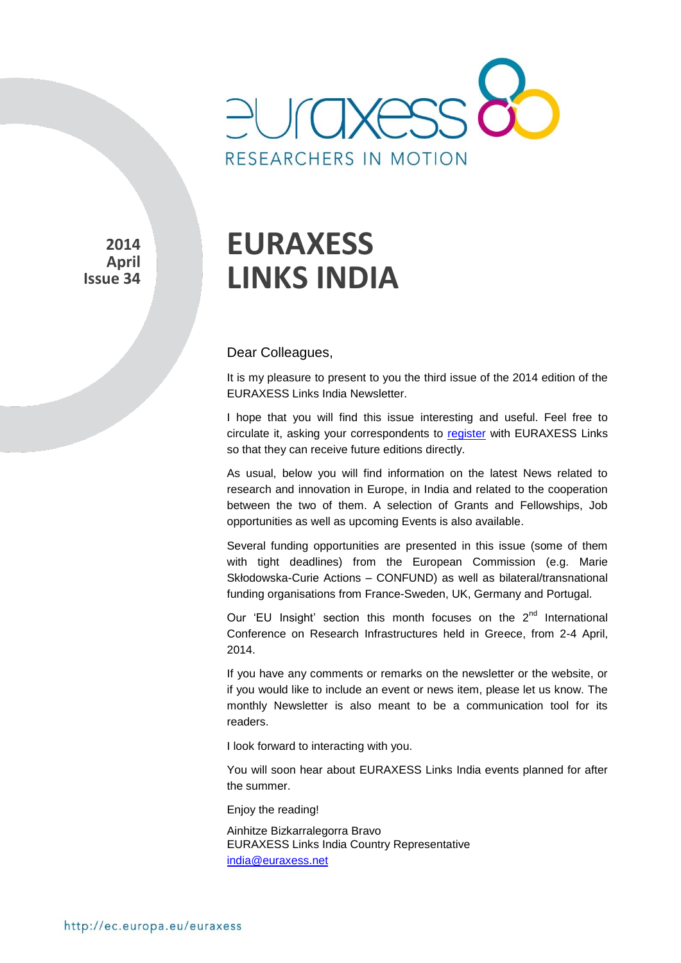

**2014 April Issue 34** 

# **EURAXESS LINKS INDIA**

#### Dear Colleagues,

It is my pleasure to present to you the third issue of the 2014 edition of the EURAXESS Links India Newsletter.

I hope that you will find this issue interesting and useful. Feel free to circulate it, asking your correspondents to [register](http://europa.eu/sinapse/directaccess/euraxess-links-india/join) with EURAXESS Links so that they can receive future editions directly.

As usual, below you will find information on the latest News related to research and innovation in Europe, in India and related to the cooperation between the two of them. A selection of Grants and Fellowships, Job opportunities as well as upcoming Events is also available.

Several funding opportunities are presented in this issue (some of them with tight deadlines) from the European Commission (e.g. Marie Skłodowska-Curie Actions – CONFUND) as well as bilateral/transnational funding organisations from France-Sweden, UK, Germany and Portugal.

Our 'EU Insight' section this month focuses on the  $2<sup>nd</sup>$  International Conference on Research Infrastructures held in Greece, from 2-4 April, 2014.

If you have any comments or remarks on the newsletter or the website, or if you would like to include an event or news item, please let us know. The monthly Newsletter is also meant to be a communication tool for its readers.

I look forward to interacting with you.

You will soon hear about EURAXESS Links India events planned for after the summer.

Enjoy the reading!

Ainhitze Bizkarralegorra Bravo EURAXESS Links India Country Representative [india@euraxess.net](mailto:aurelie.pachkoff@euraxess.net)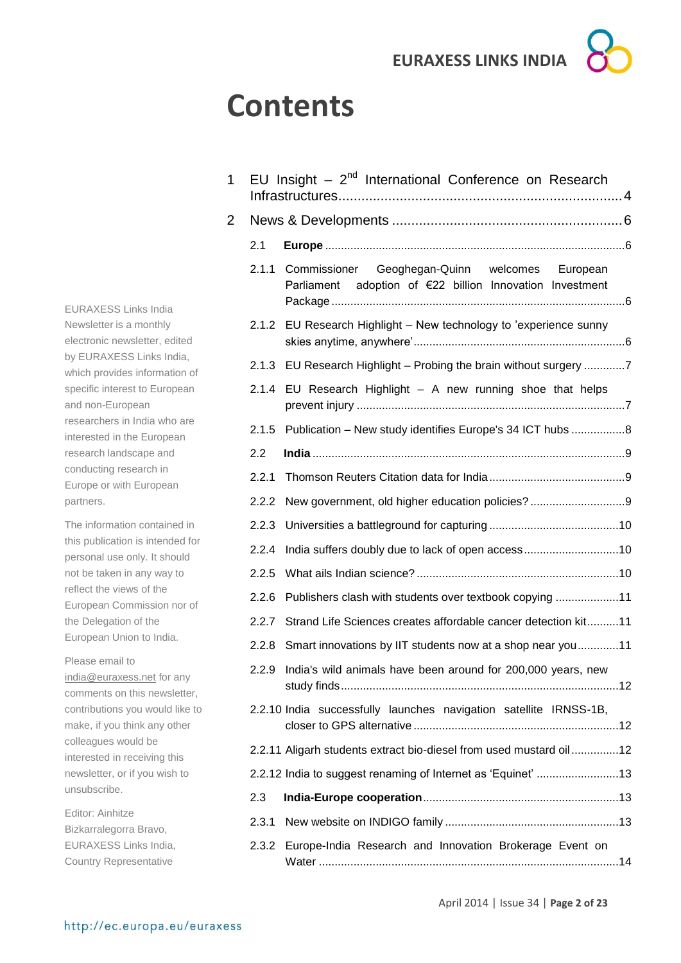# **Contents**

| 1 |       | EU Insight $-2^{nd}$ International Conference on Research                                                  |
|---|-------|------------------------------------------------------------------------------------------------------------|
| 2 |       |                                                                                                            |
|   | 2.1   |                                                                                                            |
|   | 2.1.1 | Commissioner Geoghegan-Quinn welcomes European<br>Parliament adoption of €22 billion Innovation Investment |
|   |       | 2.1.2 EU Research Highlight - New technology to 'experience sunny                                          |
|   | 2.1.3 | EU Research Highlight - Probing the brain without surgery 7                                                |
|   | 2.1.4 | EU Research Highlight - A new running shoe that helps                                                      |
|   | 2.1.5 | Publication - New study identifies Europe's 34 ICT hubs  8                                                 |
|   | 2.2   |                                                                                                            |
|   | 2.2.1 |                                                                                                            |
|   | 2.2.2 | New government, old higher education policies? 9                                                           |
|   | 2.2.3 |                                                                                                            |
|   | 2.2.4 | India suffers doubly due to lack of open access10                                                          |
|   | 2.2.5 |                                                                                                            |
|   | 2.2.6 | Publishers clash with students over textbook copying 11                                                    |
|   | 2.2.7 | Strand Life Sciences creates affordable cancer detection kit11                                             |
|   | 2.2.8 | Smart innovations by IIT students now at a shop near you11                                                 |
|   | 2.2.9 | India's wild animals have been around for 200,000 years, new                                               |
|   |       | 2.2.10 India successfully launches navigation satellite IRNSS-1B,                                          |
|   |       | 2.2.11 Aligarh students extract bio-diesel from used mustard oil12                                         |
|   |       | 2.2.12 India to suggest renaming of Internet as 'Equinet' 13                                               |
|   | 2.3   |                                                                                                            |
|   | 2.3.1 |                                                                                                            |
|   |       | 2.3.2 Europe-India Research and Innovation Brokerage Event on                                              |

EURAXESS Links India Newsletter is a monthly electronic newsletter, edited by EURAXESS Links India, which provides information of specific interest to European and non-European researchers in India who are interested in the European research landscape and conducting research in Europe or with European partners.

The information contained in this publication is intended for personal use only. It should not be taken in any way to reflect the views of the European Commission nor of the Delegation of the European Union to India.

Please email to [india@euraxess.net](mailto:india@euraxess.net) for any comments on this newsletter, contributions you would like to make, if you think any other colleagues would be interested in receiving this newsletter, or if you wish to unsubscribe.

Editor: Ainhitze Bizkarralegorra Bravo, EURAXESS Links India, Country Representative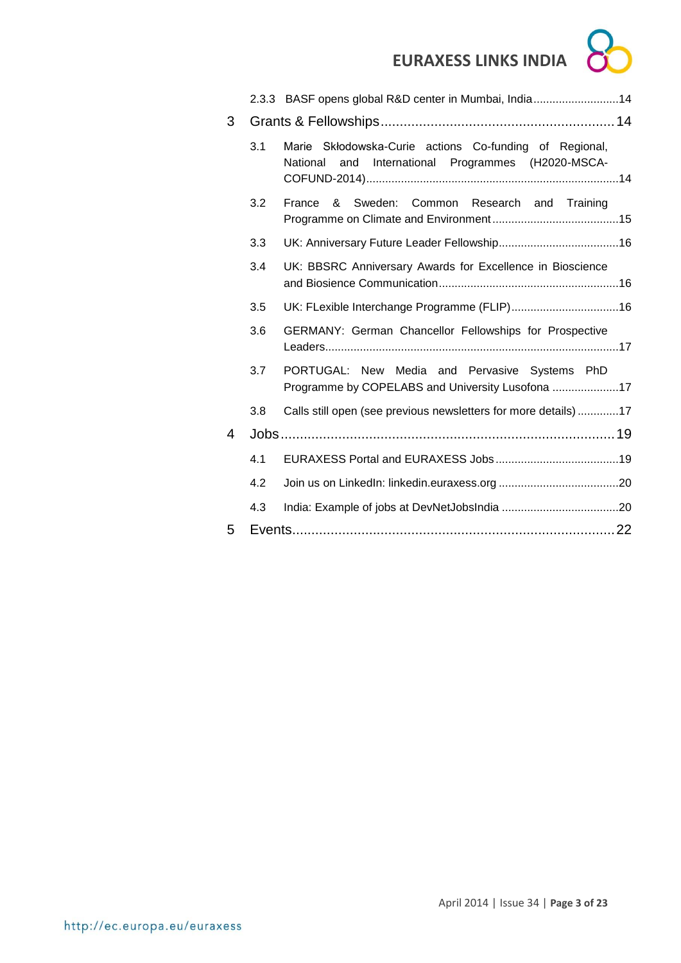

|   |                                                               | 2.3.3 BASF opens global R&D center in Mumbai, India14                                                              |  |  |
|---|---------------------------------------------------------------|--------------------------------------------------------------------------------------------------------------------|--|--|
| 3 |                                                               |                                                                                                                    |  |  |
|   | 3.1                                                           | Marie Skłodowska-Curie actions Co-funding of Regional,<br>International Programmes (H2020-MSCA-<br>and<br>National |  |  |
|   | 3.2                                                           | & Sweden: Common Research and Training<br>France                                                                   |  |  |
|   | 3.3                                                           |                                                                                                                    |  |  |
|   | 3.4                                                           | UK: BBSRC Anniversary Awards for Excellence in Bioscience                                                          |  |  |
|   | 3.5                                                           |                                                                                                                    |  |  |
|   | GERMANY: German Chancellor Fellowships for Prospective<br>3.6 |                                                                                                                    |  |  |
|   | 3.7                                                           | PORTUGAL: New Media and Pervasive Systems PhD<br>Programme by COPELABS and University Lusofona 17                  |  |  |
|   | 3.8                                                           | Calls still open (see previous newsletters for more details)17                                                     |  |  |
| 4 |                                                               |                                                                                                                    |  |  |
|   | 4.1                                                           |                                                                                                                    |  |  |
|   | 4.2                                                           |                                                                                                                    |  |  |
|   | 4.3                                                           |                                                                                                                    |  |  |
| 5 |                                                               |                                                                                                                    |  |  |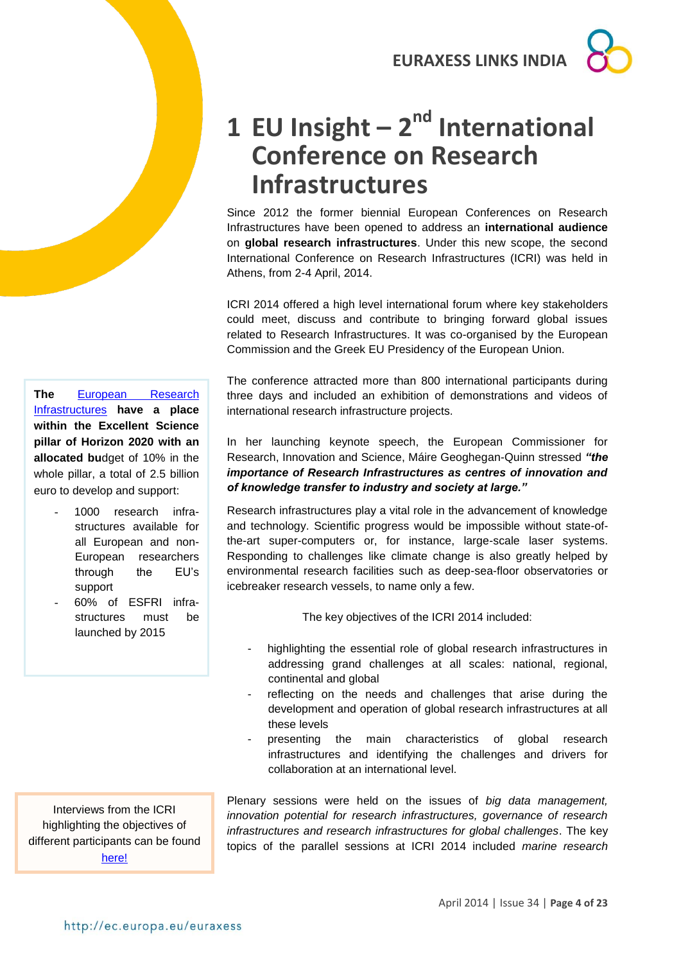# <span id="page-3-0"></span>1 **EU** Insight – 2<sup>nd</sup> International **Conference on Research Infrastructures**

Since 2012 the former biennial European Conferences on Research Infrastructures have been opened to address an **international audience** on **global research infrastructures**. Under this new scope, the second International Conference on Research Infrastructures (ICRI) was held in Athens, from 2-4 April, 2014.

ICRI 2014 offered a high level international forum where key stakeholders could meet, discuss and contribute to bringing forward global issues related to Research Infrastructures. It was co-organised by the European Commission and the Greek EU Presidency of the European Union.

The conference attracted more than 800 international participants during three days and included an exhibition of demonstrations and videos of international research infrastructure projects.

In her launching keynote speech, the European Commissioner for Research, Innovation and Science, Máire Geoghegan-Quinn stressed *"the importance of Research Infrastructures as centres of innovation and of knowledge transfer to industry and society at large."* 

Research infrastructures play a vital role in the advancement of knowledge and technology. Scientific progress would be impossible without state-ofthe-art super-computers or, for instance, large-scale laser systems. Responding to challenges like climate change is also greatly helped by environmental research facilities such as deep-sea-floor observatories or icebreaker research vessels, to name only a few.

The key objectives of the ICRI 2014 included:

- highlighting the essential role of global research infrastructures in addressing grand challenges at all scales: national, regional, continental and global
- reflecting on the needs and challenges that arise during the development and operation of global research infrastructures at all these levels
- presenting the main characteristics of global research infrastructures and identifying the challenges and drivers for collaboration at an international level.

Plenary sessions were held on the issues of *big data management, innovation potential for research infrastructures, governance of research infrastructures and research infrastructures for global challenges*. The key topics of the parallel sessions at ICRI 2014 included *marine research* 

**The** [European Research](http://ec.europa.eu/programmes/horizon2020/en/h2020-section/european-research-infrastructures-including-e-infrastructures)  [Infrastructures](http://ec.europa.eu/programmes/horizon2020/en/h2020-section/european-research-infrastructures-including-e-infrastructures) **have a place within the Excellent Science pillar of Horizon 2020 with an allocated bu**dget of 10% in the whole pillar, a total of 2.5 billion euro to develop and support:

> 1000 research infrastructures available for all European and non-European researchers through the EU's support

- 60% of ESFRI infrastructures must be launched by 2015

Interviews from the ICRI highlighting the objectives of different participants can be found [here!](http://www.youtube.com/watch?v=HkVi8elBH94&list=PLUJ9-fK9n4d8TvAg_0HALGf8-D2_VEvPt)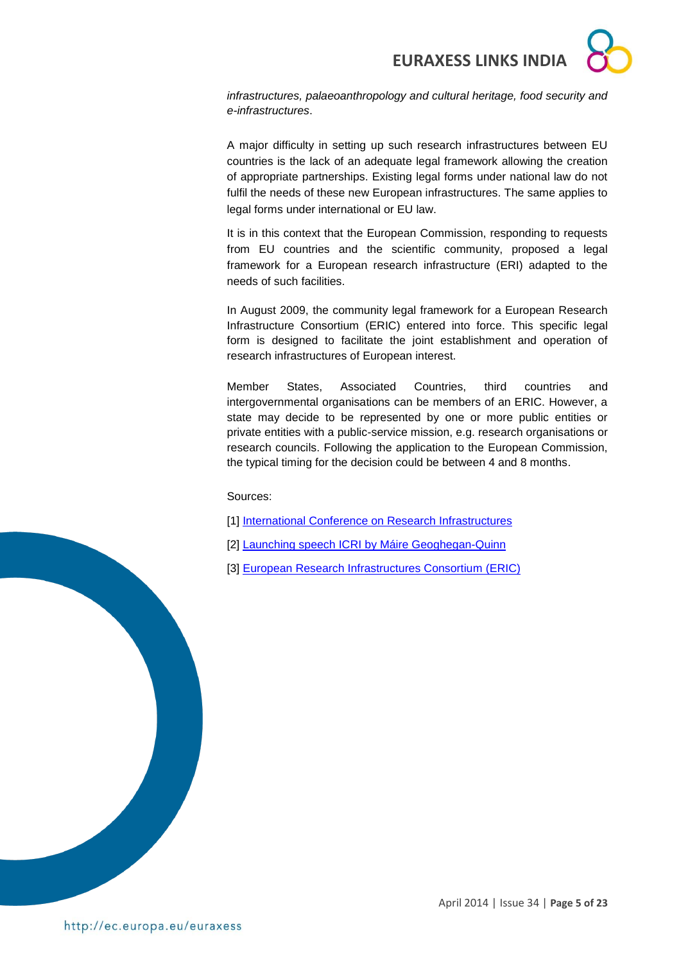

*infrastructures, palaeoanthropology and cultural heritage, food security and e-infrastructures*.

A major difficulty in setting up such research infrastructures between EU countries is the lack of an adequate legal framework allowing the creation of appropriate partnerships. Existing legal forms under national law do not fulfil the needs of these new European infrastructures. The same applies to legal forms under international or EU law.

It is in this context that the European Commission, responding to requests from EU countries and the scientific community, proposed a legal framework for a European research infrastructure (ERI) adapted to the needs of such facilities.

In August 2009, the community legal framework for a European Research Infrastructure Consortium (ERIC) entered into force. This specific legal form is designed to facilitate the joint establishment and operation of research infrastructures of European interest.

Member States, Associated Countries, third countries and intergovernmental organisations can be members of an ERIC. However, a state may decide to be represented by one or more public entities or private entities with a public-service mission, e.g. research organisations or research councils. Following the application to the European Commission, the typical timing for the decision could be between 4 and 8 months.

Sources:

- [1] [International Conference on Research Infrastructures](http://www.icri2014.eu/)
- [2] [Launching speech ICRI by Máire Geoghegan-Quinn](http://europa.eu/rapid/press-release_SPEECH-14-277_en.htm)
- [3] [European Research Infrastructures Consortium \(ERIC\)](http://ec.europa.eu/research/infrastructures/index_en.cfm?pg=eric)

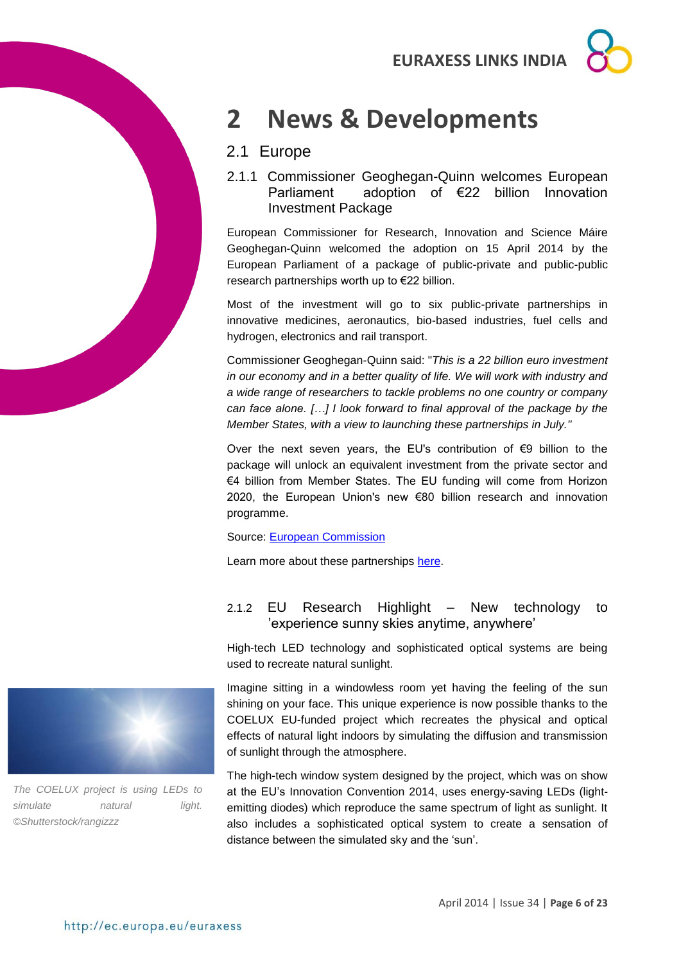

# <span id="page-5-0"></span>**2 News & Developments**

# <span id="page-5-1"></span>2.1 Europe

### <span id="page-5-2"></span>2.1.1 Commissioner Geoghegan-Quinn welcomes European Parliament adoption of €22 billion Innovation Investment Package

European Commissioner for Research, Innovation and Science Máire Geoghegan-Quinn welcomed the adoption on 15 April 2014 by the European Parliament of a package of public-private and public-public research partnerships worth up to €22 billion.

Most of the investment will go to six public-private partnerships in innovative medicines, aeronautics, bio-based industries, fuel cells and hydrogen, electronics and rail transport.

Commissioner Geoghegan-Quinn said: "*This is a 22 billion euro investment in our economy and in a better quality of life. We will work with industry and a wide range of researchers to tackle problems no one country or company can face alone. […] I look forward to final approval of the package by the Member States, with a view to launching these partnerships in July."*

Over the next seven years, the EU's contribution of €9 billion to the package will unlock an equivalent investment from the private sector and €4 billion from Member States. The EU funding will come from Horizon 2020, the European Union's new €80 billion research and innovation programme.

Source: [European Commission](http://europa.eu/rapid/press-release_STATEMENT-14-128_en.htm)

Learn more about these partnerships [here.](http://europa.eu/rapid/press-release_MEMO-14-289_en.htm)

## <span id="page-5-3"></span>2.1.2 EU Research Highlight – New technology to 'experience sunny skies anytime, anywhere'

High-tech LED technology and sophisticated optical systems are being used to recreate natural sunlight.

Imagine sitting in a windowless room yet having the feeling of the sun shining on your face. This unique experience is now possible thanks to the COELUX EU-funded project which recreates the physical and optical effects of natural light indoors by simulating the diffusion and transmission of sunlight through the atmosphere.

The high-tech window system designed by the project, which was on show at the EU's [Innovation Convention 2014,](http://horizon-magazine.eu/article/innovation-needs-be-mainstream-president-barroso-tells-researchers-entrepreneurs_en.html) uses energy-saving LEDs (lightemitting diodes) which reproduce the same spectrum of light as sunlight. It also includes a sophisticated optical system to create a sensation of distance between the simulated sky and the 'sun'.



*The COELUX project is using LEDs to*  simulate natural light. *©Shutterstock/rangizzz*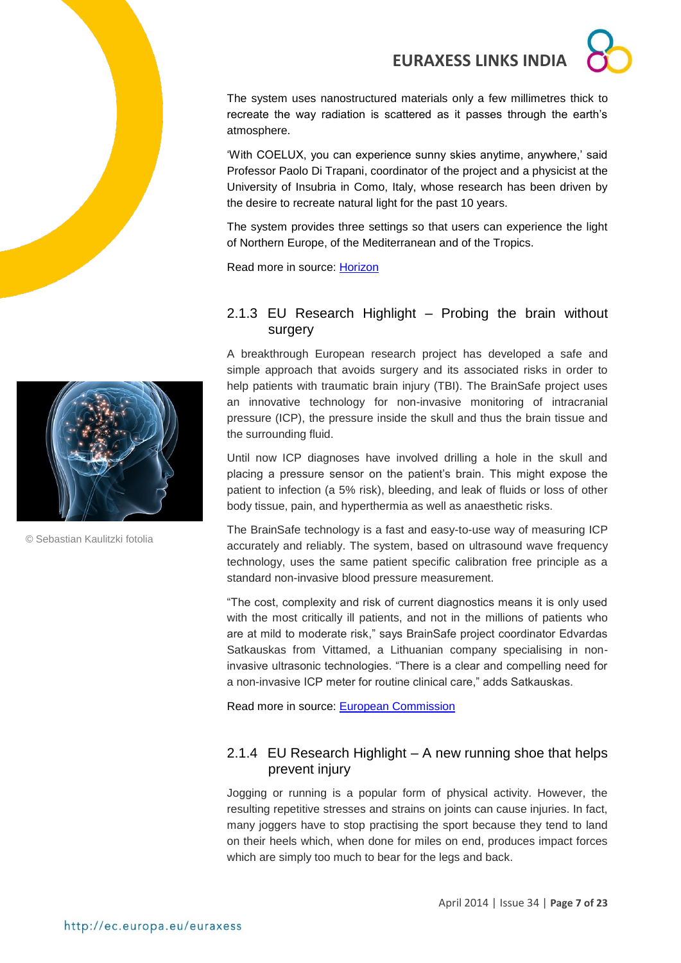The system uses nanostructured materials only a few millimetres thick to recreate the way radiation is scattered as it passes through the earth's atmosphere.

'With COELUX, you can experience sunny skies anytime, anywhere,' said Professor Paolo Di Trapani, coordinator of the project and a physicist at the University of Insubria in Como, Italy, whose research has been driven by the desire to recreate natural light for the past 10 years.

The system provides three settings so that users can experience the light of Northern Europe, of the Mediterranean and of the Tropics.

Read more in source: [Horizon](http://horizon-magazine.eu/article/how-fill-windowless-room-sunlight_en.html)

#### <span id="page-6-0"></span>2.1.3 EU Research Highlight – Probing the brain without surgery

A breakthrough European research project has developed a safe and simple approach that avoids surgery and its associated risks in order to help patients with traumatic brain injury (TBI). The BrainSafe project uses an innovative technology for non-invasive monitoring of intracranial pressure (ICP), the pressure inside the skull and thus the brain tissue and the surrounding fluid.

Until now ICP diagnoses have involved drilling a hole in the skull and placing a pressure sensor on the patient's brain. This might expose the patient to infection (a 5% risk), bleeding, and leak of fluids or loss of other body tissue, pain, and hyperthermia as well as anaesthetic risks.

The BrainSafe technology is a fast and easy-to-use way of measuring ICP accurately and reliably. The system, based on ultrasound wave frequency technology, uses the same patient specific calibration free principle as a standard non-invasive blood pressure measurement.

"The cost, complexity and risk of current diagnostics means it is only used with the most critically ill patients, and not in the millions of patients who are at mild to moderate risk," says BrainSafe project coordinator Edvardas Satkauskas from Vittamed, a Lithuanian company specialising in noninvasive ultrasonic technologies. "There is a clear and compelling need for a non-invasive ICP meter for routine clinical care," adds Satkauskas.

Read more in source: **European Commission** 

### <span id="page-6-1"></span>2.1.4 EU Research Highlight – A new running shoe that helps prevent injury

Jogging or running is a popular form of physical activity. However, the resulting repetitive stresses and strains on joints can cause injuries. In fact, many joggers have to stop practising the sport because they tend to land on their heels which, when done for miles on end, produces impact forces which are simply too much to bear for the legs and back.



© Sebastian Kaulitzki fotolia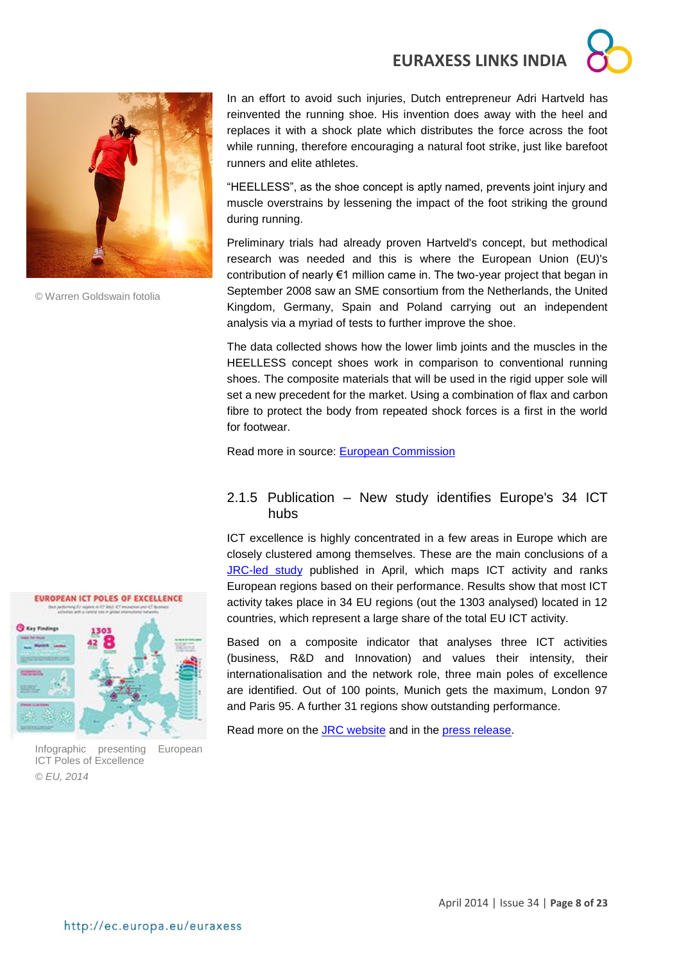

© Warren Goldswain fotolia

In an effort to avoid such injuries, Dutch entrepreneur Adri Hartveld has reinvented the running shoe. His invention does away with the heel and replaces it with a shock plate which distributes the force across the foot while running, therefore encouraging a natural foot strike, just like barefoot runners and elite athletes.

"HEELLESS", as the shoe concept is aptly named, prevents joint injury and muscle overstrains by lessening the impact of the foot striking the ground during running.

Preliminary trials had already proven Hartveld's concept, but methodical research was needed and this is where the European Union (EU)'s contribution of nearly €1 million came in. The two-year project that began in September 2008 saw an SME consortium from the Netherlands, the United Kingdom, Germany, Spain and Poland carrying out an independent analysis via a myriad of tests to further improve the shoe.

The data collected shows how the lower limb joints and the muscles in the HEELLESS concept shoes work in comparison to conventional running shoes. The composite materials that will be used in the rigid upper sole will set a new precedent for the market. Using a combination of flax and carbon fibre to protect the body from repeated shock forces is a first in the world for footwear.

Read more in source: [European Commission](http://ec.europa.eu/research/infocentre/article_en.cfm?id=/research/headlines/news/article_14_04_07_en.html?infocentre&item=All&artid=31856&caller=AllHeadlines)

### <span id="page-7-0"></span>2.1.5 Publication – New study identifies Europe's 34 ICT hubs

ICT excellence is highly concentrated in a few areas in Europe which are closely clustered among themselves. These are the main conclusions of a [JRC-led study](http://ipts.jrc.ec.europa.eu/publications/pub.cfm?id=7140) published in April, which maps ICT activity and ranks European regions based on their performance. Results show that most ICT activity takes place in 34 EU regions (out the 1303 analysed) located in 12 countries, which represent a large share of the total EU ICT activity.

Based on a composite indicator that analyses three ICT activities (business, R&D and Innovation) and values their intensity, their internationalisation and the network role, three main poles of excellence are identified. Out of 100 points, Munich gets the maximum, London 97 and Paris 95. A further 31 regions show outstanding performance.

Read more on the [JRC website](http://ec.europa.eu/dgs/jrc/index.cfm?id=1410&dt_code=NWS&obj_id=19720&ori=RSS) and in the [press release.](http://europa.eu/rapid/press-release_IP-14-435_en.htm)



Infographic presenting European ICT Poles of Excellence  *© EU, 2014*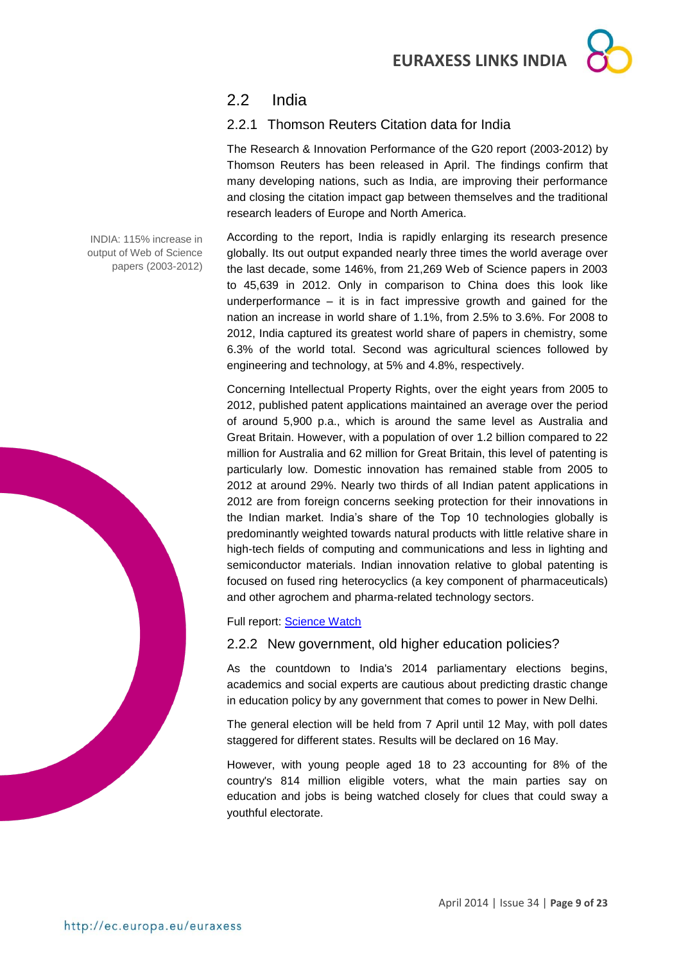# <span id="page-8-0"></span>2.2 India

# <span id="page-8-1"></span>2.2.1 Thomson Reuters Citation data for India

The Research & Innovation Performance of the G20 report (2003-2012) by Thomson Reuters has been released in April. The findings confirm that many developing nations, such as India, are improving their performance and closing the citation impact gap between themselves and the traditional research leaders of Europe and North America.

According to the report, India is rapidly enlarging its research presence globally. Its out output expanded nearly three times the world average over the last decade, some 146%, from 21,269 Web of Science papers in 2003 to 45,639 in 2012. Only in comparison to China does this look like underperformance – it is in fact impressive growth and gained for the nation an increase in world share of 1.1%, from 2.5% to 3.6%. For 2008 to 2012, India captured its greatest world share of papers in chemistry, some 6.3% of the world total. Second was agricultural sciences followed by engineering and technology, at 5% and 4.8%, respectively.

Concerning Intellectual Property Rights, over the eight years from 2005 to 2012, published patent applications maintained an average over the period of around 5,900 p.a., which is around the same level as Australia and Great Britain. However, with a population of over 1.2 billion compared to 22 million for Australia and 62 million for Great Britain, this level of patenting is particularly low. Domestic innovation has remained stable from 2005 to 2012 at around 29%. Nearly two thirds of all Indian patent applications in 2012 are from foreign concerns seeking protection for their innovations in the Indian market. India's share of the Top 10 technologies globally is predominantly weighted towards natural products with little relative share in high-tech fields of computing and communications and less in lighting and semiconductor materials. Indian innovation relative to global patenting is focused on fused ring heterocyclics (a key component of pharmaceuticals) and other agrochem and pharma-related technology sectors.

Full report: [Science Watch](http://sciencewatch.com/grr/the-g20-nations)

### <span id="page-8-2"></span>2.2.2 New government, old higher education policies?

As the countdown to India's 2014 parliamentary elections begins, academics and social experts are cautious about predicting drastic change in education policy by any government that comes to power in New Delhi.

The general election will be held from 7 April until 12 May, with poll dates staggered for different states. Results will be declared on 16 May.

However, with young people aged 18 to 23 accounting for 8% of the country's 814 million eligible voters, what the main parties say on education and jobs is being watched closely for clues that could sway a youthful electorate.

INDIA: 115% increase in output of Web of Science papers (2003-2012)

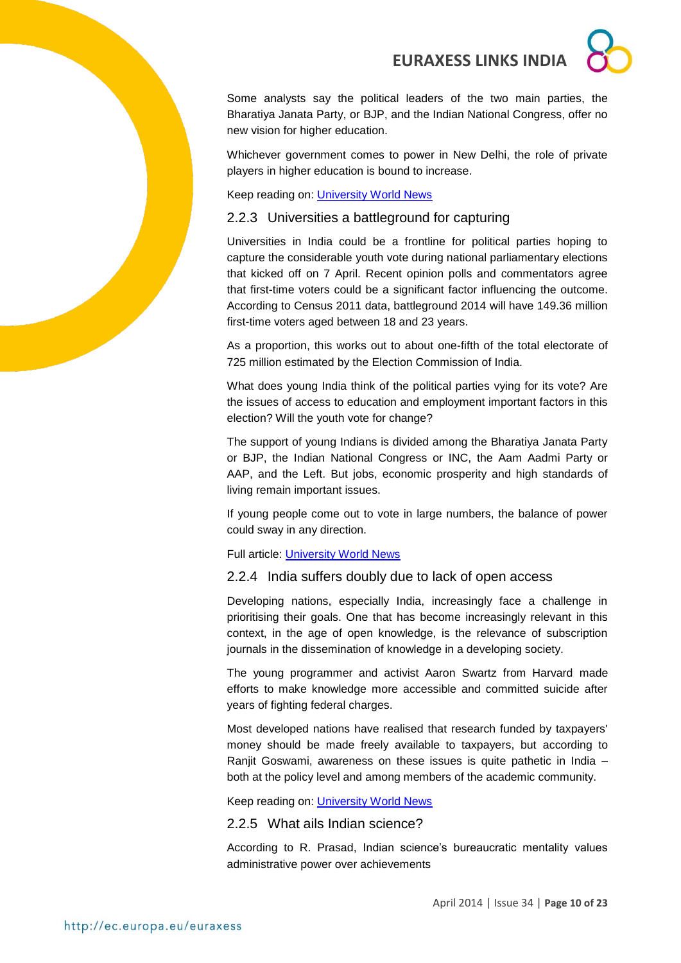Some analysts say the political leaders of the two main parties, the Bharatiya Janata Party, or BJP, and the Indian National Congress, offer no new vision for higher education.

Whichever government comes to power in New Delhi, the role of private players in higher education is bound to increase.

Keep reading on: [University World News](http://www.universityworldnews.com/article.php?story=20140327165846398)

<span id="page-9-0"></span>2.2.3 Universities a battleground for capturing

Universities in India could be a frontline for political parties hoping to capture the considerable youth vote during national parliamentary elections that kicked off on 7 April. Recent opinion polls and commentators agree that first-time voters could be a significant factor influencing the outcome. According to Census 2011 data, battleground 2014 will have 149.36 million first-time voters aged between 18 and 23 years.

As a proportion, this works out to about one-fifth of the total electorate of 725 million estimated by the Election Commission of India.

What does young India think of the political parties vying for its vote? Are the issues of access to education and employment important factors in this election? Will the youth vote for change?

The support of young Indians is divided among the Bharatiya Janata Party or BJP, the Indian National Congress or INC, the Aam Aadmi Party or AAP, and the Left. But jobs, economic prosperity and high standards of living remain important issues.

If young people come out to vote in large numbers, the balance of power could sway in any direction.

Full article: [University World News](http://www.universityworldnews.com/article.php?story=20140403135230541)

### <span id="page-9-1"></span>2.2.4 India suffers doubly due to lack of open access

Developing nations, especially India, increasingly face a challenge in prioritising their goals. One that has become increasingly relevant in this context, in the age of open knowledge, is the relevance of subscription journals in the dissemination of knowledge in a developing society.

The young programmer and activist Aaron Swartz from Harvard made efforts to make knowledge more accessible and committed suicide after years of fighting federal charges.

Most developed nations have realised that research funded by taxpayers' money should be made freely available to taxpayers, but according to Ranjit Goswami, awareness on these issues is quite pathetic in India – both at the policy level and among members of the academic community.

Keep reading on: [University World](http://www.universityworldnews.com/article.php?story=20140401110842119) News

<span id="page-9-2"></span>2.2.5 What ails Indian science?

According to R. Prasad, Indian science's bureaucratic mentality values administrative power over achievements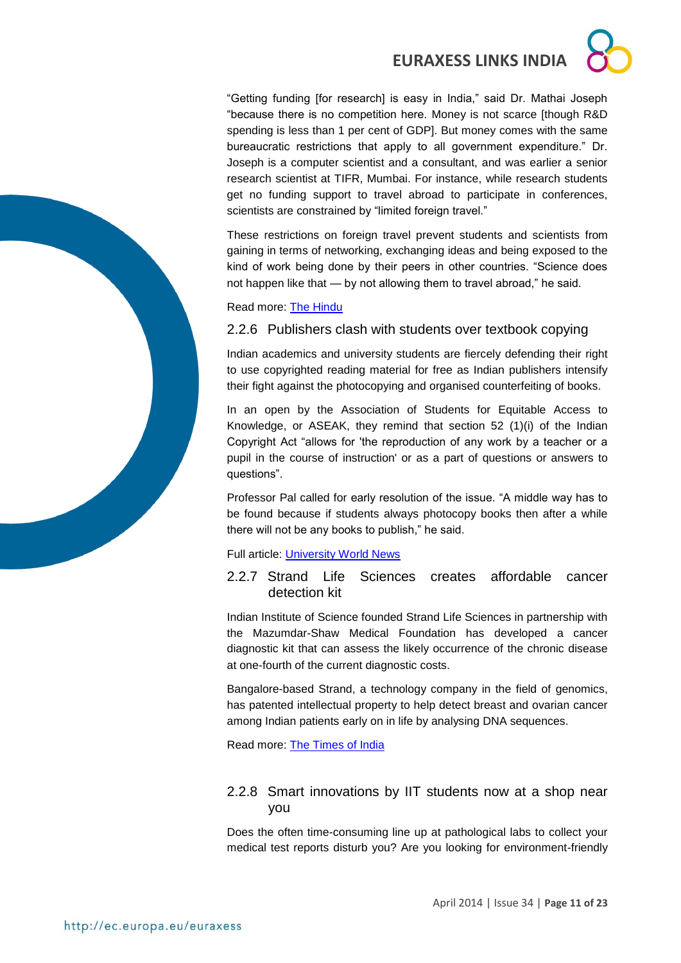"Getting funding [for research] is easy in India," said Dr. Mathai Joseph "because there is no competition here. Money is not scarce [though R&D spending is less than 1 per cent of GDP]. But money comes with the same bureaucratic restrictions that apply to all government expenditure." Dr. Joseph is a computer scientist and a consultant, and was earlier a senior research scientist at TIFR, Mumbai. For instance, while research students get no funding support to travel abroad to participate in conferences, scientists are constrained by "limited foreign travel."

These restrictions on foreign travel prevent students and scientists from gaining in terms of networking, exchanging ideas and being exposed to the kind of work being done by their peers in other countries. "Science does not happen like that — by not allowing them to travel abroad," he said.

#### Read more: [The Hindu](http://www.thehindu.com/sci-tech/science/what-ails-indian-science/article5863637.ece?utm_source=RSS_Feed&utm_medium=RSS&utm_campaign=RSS_Syndication)

#### <span id="page-10-0"></span>2.2.6 Publishers clash with students over textbook copying

Indian academics and university students are fiercely defending their right to use copyrighted reading material for free as Indian publishers intensify their fight against the photocopying and organised counterfeiting of books.

In an open by the Association of Students for Equitable Access to Knowledge, or ASEAK, they remind that section 52 (1)(i) of the Indian Copyright Act "allows for 'the reproduction of any work by a teacher or a pupil in the course of instruction' or as a part of questions or answers to questions".

Professor Pal called for early resolution of the issue. "A middle way has to be found because if students always photocopy books then after a while there will not be any books to publish," he said.

Full article: [University World News](http://www.universityworldnews.com/article.php?story=20140325151724931)

#### <span id="page-10-1"></span>2.2.7 Strand Life Sciences creates affordable cancer detection kit

Indian Institute of Science founded Strand Life Sciences in partnership with the Mazumdar-Shaw Medical Foundation has developed a cancer diagnostic kit that can assess the likely occurrence of the chronic disease at one-fourth of the current diagnostic costs.

Bangalore-based Strand, a technology company in the field of genomics, has patented intellectual property to help detect breast and ovarian cancer among Indian patients early on in life by analysing DNA sequences.

Read more: [The Times of India](http://timesofindia.indiatimes.com/home/science/Strand-Life-Sciences-creates-affordable-cancer-detection-kit/articleshow/34062419.cms)

#### <span id="page-10-2"></span>2.2.8 Smart innovations by IIT students now at a shop near you

Does the often time-consuming line up at pathological labs to collect your medical test reports disturb you? Are you looking for environment-friendly

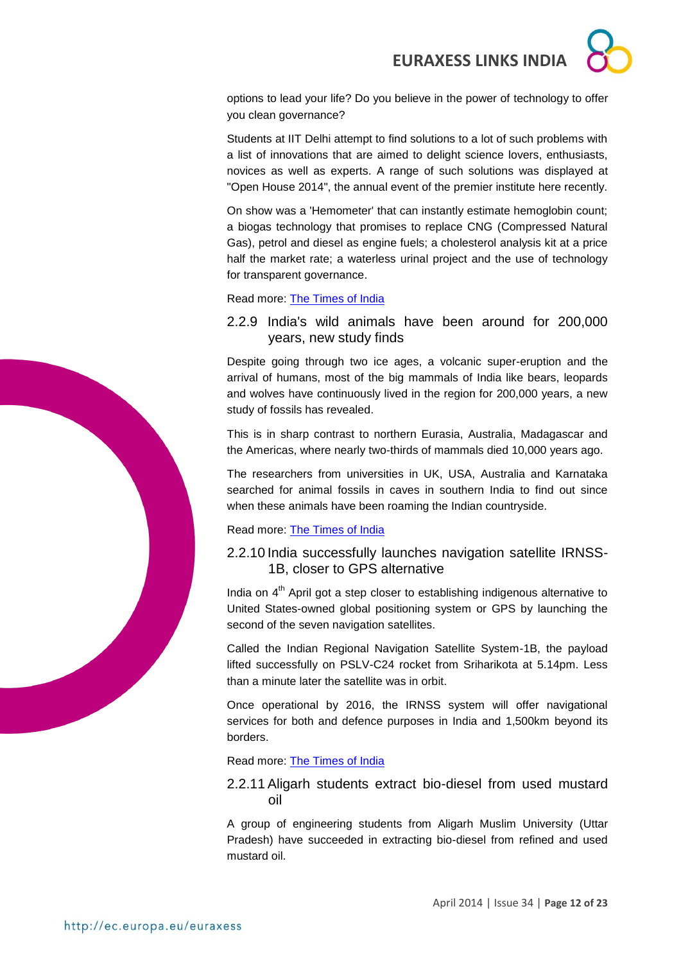options to lead your life? Do you believe in the power of technology to offer you clean governance?

Students at IIT Delhi attempt to find solutions to a lot of such problems with a list of innovations that are aimed to delight science lovers, enthusiasts, novices as well as experts. A range of such solutions was displayed at "Open House 2014", the annual event of the premier institute here recently.

On show was a 'Hemometer' that can instantly estimate hemoglobin count; a biogas technology that promises to replace CNG (Compressed Natural Gas), petrol and diesel as engine fuels; a cholesterol analysis kit at a price half the market rate; a waterless urinal project and the use of technology for transparent governance.

#### Read more: [The Times of India](http://timesofindia.indiatimes.com/home/science/Smart-innovations-by-IIT-students-now-at-a-shop-near-you/articleshow/33996253.cms)

<span id="page-11-0"></span>2.2.9 India's wild animals have been around for 200,000 years, new study finds

Despite going through two ice ages, a volcanic super-eruption and the arrival of humans, most of the big mammals of India like bears, leopards and wolves have continuously lived in the region for 200,000 years, a new study of fossils has revealed.

This is in sharp contrast to northern Eurasia, Australia, Madagascar and the Americas, where nearly two-thirds of mammals died 10,000 years ago.

The researchers from universities in UK, USA, Australia and Karnataka searched for animal fossils in caves in southern India to find out since when these animals have been roaming the Indian countryside.

#### Read more: [The Times of India](http://timesofindia.indiatimes.com/home/science/Indias-wild-animals-have-been-around-for-200000-years-new-study-finds/articleshow/33900528.cms)

<span id="page-11-1"></span>2.2.10 India successfully launches navigation satellite IRNSS-1B, closer to GPS alternative

India on 4<sup>th</sup> April got a step closer to establishing indigenous alternative to United States-owned global positioning system or GPS by launching the second of the seven navigation satellites.

Called the Indian Regional Navigation Satellite System-1B, the payload lifted successfully on PSLV-C24 rocket from Sriharikota at 5.14pm. Less than a minute later the satellite was in orbit.

Once operational by 2016, the IRNSS system will offer navigational services for both and defence purposes in India and 1,500km beyond its borders.

#### Read more: [The Times of India](http://timesofindia.indiatimes.com/home/science/India-successfully-launches-navigation-satellite-IRNSS-1B-closer-to-GPS-alternative/articleshow/33251226.cms)

<span id="page-11-2"></span>2.2.11 Aligarh students extract bio-diesel from used mustard oil

A group of engineering students from Aligarh Muslim University (Uttar Pradesh) have succeeded in extracting bio-diesel from refined and used mustard oil.

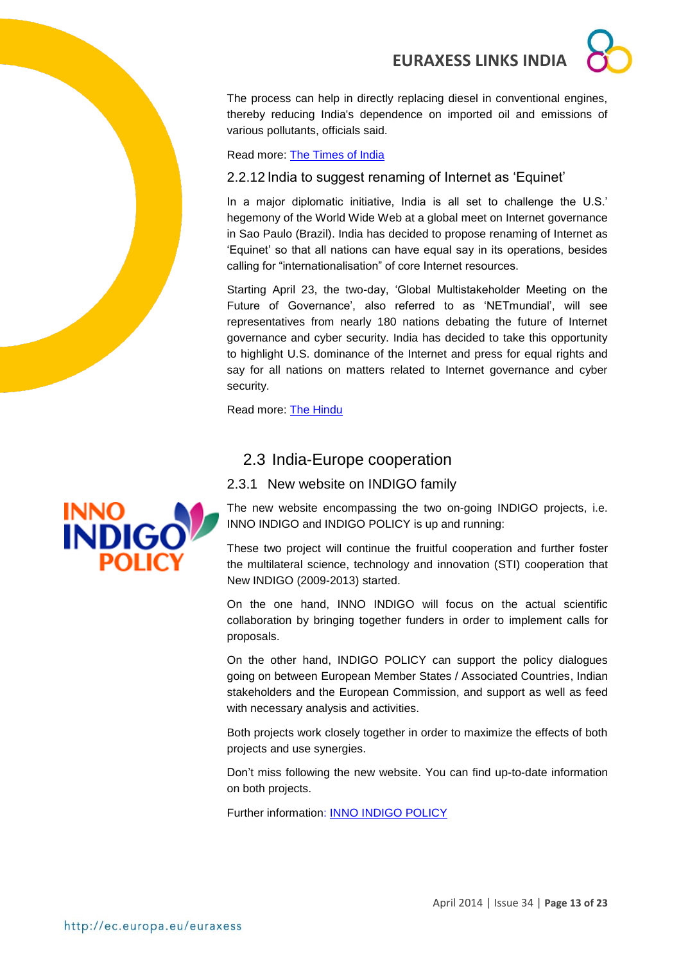The process can help in directly replacing diesel in conventional engines, thereby reducing India's dependence on imported oil and emissions of various pollutants, officials said.

Read more: [The Times of India](http://timesofindia.indiatimes.com/home/science/Aligarh-students-extract-bio-diesel-from-used-mustard-oil/articleshow/33087942.cms)

### <span id="page-12-0"></span>2.2.12 India to suggest renaming of Internet as 'Equinet'

In a major diplomatic initiative, India is all set to challenge the U.S.' hegemony of the World Wide Web at a global meet on Internet governance in Sao Paulo (Brazil). India has decided to propose renaming of Internet as 'Equinet' so that all nations can have equal say in its operations, besides calling for "internationalisation" of core Internet resources.

Starting April 23, the two-day, 'Global Multistakeholder Meeting on the Future of Governance', also referred to as 'NETmundial', will see representatives from nearly 180 nations debating the future of Internet governance and cyber security. India has decided to take this opportunity to highlight U.S. dominance of the Internet and press for equal rights and say for all nations on matters related to Internet governance and cyber security.

Read more: [The Hindu](http://www.thehindu.com/sci-tech/technology/internet/india-to-suggest-renaming-of-internet-as-equinet/article5916877.ece?utm_source=RSS_Feed&utm_medium=RSS&utm_campaign=RSS_Syndication)

### <span id="page-12-1"></span>2.3 India-Europe cooperation

#### <span id="page-12-2"></span>2.3.1 New website on INDIGO family

The new website encompassing the two on-going INDIGO projects, i.e. INNO INDIGO and INDIGO POLICY is up and running:

These two project will continue the fruitful cooperation and further foster the multilateral science, technology and innovation (STI) cooperation that New INDIGO (2009-2013) started.

On the one hand, INNO INDIGO will focus on the actual scientific collaboration by bringing together funders in order to implement calls for proposals.

On the other hand, INDIGO POLICY can support the policy dialogues going on between European Member States / Associated Countries, Indian stakeholders and the European Commission, and support as well as feed with necessary analysis and activities.

Both projects work closely together in order to maximize the effects of both projects and use synergies.

Don't miss following the new website. You can find up-to-date information on both projects.

Further information: [INNO INDIGO POLICY](http://indigoprojects.eu/about/indigo-family)

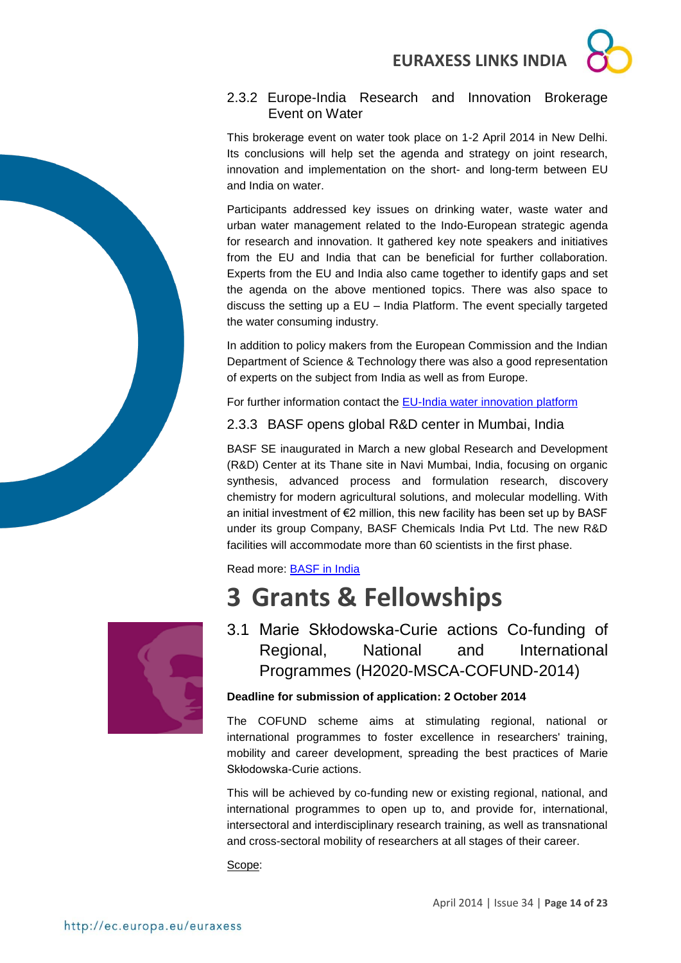

### <span id="page-13-0"></span>2.3.2 Europe-India Research and Innovation Brokerage Event on Water

This brokerage event on water took place on 1-2 April 2014 in New Delhi. Its conclusions will help set the agenda and strategy on joint research, innovation and implementation on the short- and long-term between EU and India on water.

Participants addressed key issues on drinking water, waste water and urban water management related to the Indo-European strategic agenda for research and innovation. It gathered key note speakers and initiatives from the EU and India that can be beneficial for further collaboration. Experts from the EU and India also came together to identify gaps and set the agenda on the above mentioned topics. There was also space to discuss the setting up a EU – India Platform. The event specially targeted the water consuming industry.

In addition to policy makers from the European Commission and the Indian Department of Science & Technology there was also a good representation of experts on the subject from India as well as from Europe.

For further information contact the [EU-India water innovation platform](http://indigoprojects.eu/networking/water-platform)

### <span id="page-13-1"></span>2.3.3 BASF opens global R&D center in Mumbai, India

BASF SE inaugurated in March a new global Research and Development (R&D) Center at its Thane site in Navi Mumbai, India, focusing on organic synthesis, advanced process and formulation research, discovery chemistry for modern agricultural solutions, and molecular modelling. With an initial investment of €2 million, this new facility has been set up by BASF under its group Company, BASF Chemicals India Pvt Ltd. The new R&D facilities will accommodate more than 60 scientists in the first phase.

#### Read more: [BASF in India](http://www.india.basf.com/apex/India/en/upload/News_and_Media_Relations/Press_Release/2014/BASF_opens_Global_Research_and_Development_center_in_Mumbai_India_)

# <span id="page-13-2"></span>**3 Grants & Fellowships**



<span id="page-13-3"></span>3.1 Marie Skłodowska-Curie actions Co-funding of Regional, National and International Programmes (H2020-MSCA-COFUND-2014)

#### **Deadline for submission of application: 2 October 2014**

The COFUND scheme aims at stimulating regional, national or international programmes to foster excellence in researchers' training, mobility and career development, spreading the best practices of Marie Skłodowska-Curie actions.

This will be achieved by co-funding new or existing regional, national, and international programmes to open up to, and provide for, international, intersectoral and interdisciplinary research training, as well as transnational and cross-sectoral mobility of researchers at all stages of their career.

Scope:

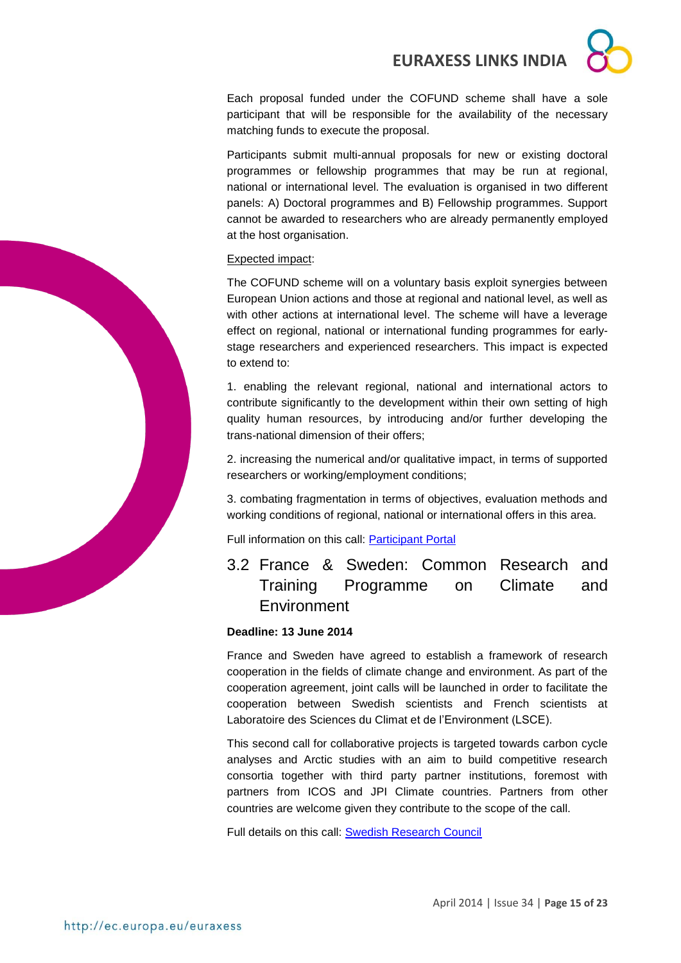Each proposal funded under the COFUND scheme shall have a sole participant that will be responsible for the availability of the necessary matching funds to execute the proposal.

Participants submit multi-annual proposals for new or existing doctoral programmes or fellowship programmes that may be run at regional, national or international level. The evaluation is organised in two different panels: A) Doctoral programmes and B) Fellowship programmes. Support cannot be awarded to researchers who are already permanently employed at the host organisation.

Expected impact:

The COFUND scheme will on a voluntary basis exploit synergies between European Union actions and those at regional and national level, as well as with other actions at international level. The scheme will have a leverage effect on regional, national or international funding programmes for earlystage researchers and experienced researchers. This impact is expected to extend to:

1. enabling the relevant regional, national and international actors to contribute significantly to the development within their own setting of high quality human resources, by introducing and/or further developing the trans-national dimension of their offers;

2. increasing the numerical and/or qualitative impact, in terms of supported researchers or working/employment conditions;

3. combating fragmentation in terms of objectives, evaluation methods and working conditions of regional, national or international offers in this area.

Full information on this call: [Participant Portal](http://ec.europa.eu/research/participants/portal/desktop/en/opportunities/h2020/calls/h2020-msca-cofund-2014.html)

# <span id="page-14-0"></span>3.2 France & Sweden: Common Research and Training Programme on Climate and **Environment**

#### **Deadline: 13 June 2014**

France and Sweden have agreed to establish a framework of research cooperation in the fields of climate change and environment. As part of the cooperation agreement, joint calls will be launched in order to facilitate the cooperation between Swedish scientists and French scientists at Laboratoire des Sciences du Climat et de l'Environment (LSCE).

This second call for collaborative projects is targeted towards carbon cycle analyses and Arctic studies with an aim to build competitive research consortia together with third party partner institutions, foremost with partners from ICOS and JPI Climate countries. Partners from other countries are welcome given they contribute to the scope of the call.

Full details on this call: [Swedish Research Council](http://www.vr.se/inenglish/researchfunding/applyforgrants/callforproposals/opengrants/frameworkgrantwithinthefrenchswedishcommonresearchandtrainingprogrammeonclimateandenvironment.5.7e727b6e141e9ed702b15209.html)

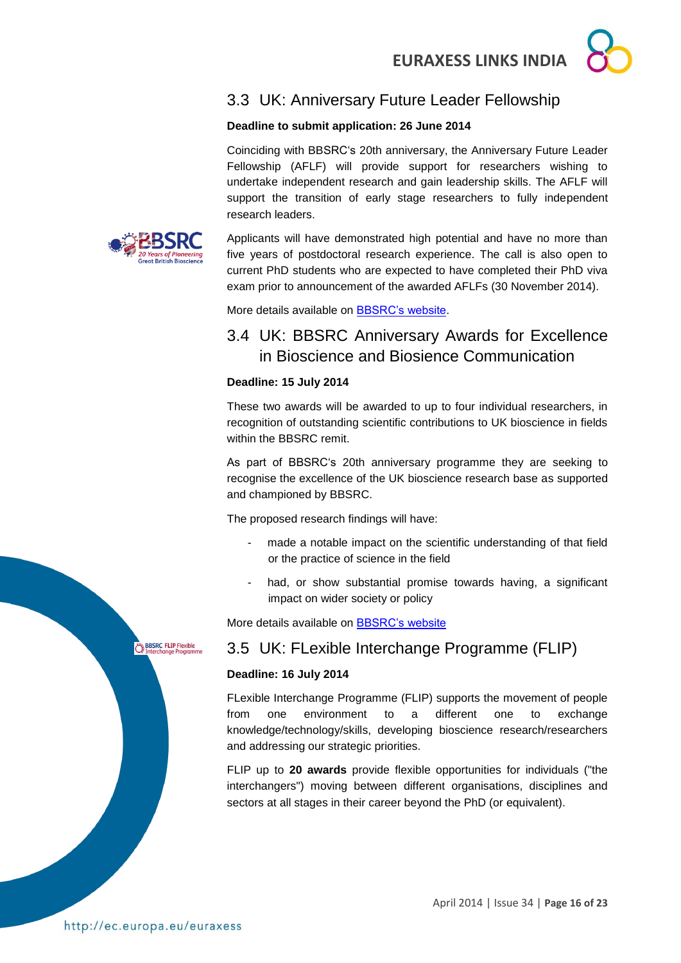# <span id="page-15-0"></span>3.3 UK: Anniversary Future Leader Fellowship

#### **Deadline to submit application: 26 June 2014**

Coinciding with BBSRC's 20th anniversary, the Anniversary Future Leader Fellowship (AFLF) will provide support for researchers wishing to undertake independent research and gain leadership skills. The AFLF will support the transition of early stage researchers to fully independent research leaders.

Applicants will have demonstrated high potential and have no more than five years of postdoctoral research experience. The call is also open to current PhD students who are expected to have completed their PhD viva exam prior to announcement of the awarded AFLFs (30 November 2014).

More details available on [BBSRC's website.](http://www.bbsrc.ac.uk/funding/fellowships/anniversary-future-leader-fellowship.aspx?utm_source=feedburner&utm_medium=feed&utm_campaign=Feed%3A+bbsrcfunding+%28BBSRC+-+Funding+opportunities%29)

# <span id="page-15-1"></span>3.4 UK: BBSRC Anniversary Awards for Excellence in Bioscience and Biosience Communication

#### **Deadline: 15 July 2014**

These two awards will be awarded to up to four individual researchers, in recognition of outstanding scientific contributions to UK bioscience in fields within the BBSRC remit.

As part of BBSRC's 20th anniversary programme they are seeking to recognise the excellence of the UK bioscience research base as supported and championed by BBSRC.

The proposed research findings will have:

- made a notable impact on the scientific understanding of that field or the practice of science in the field
- had, or show substantial promise towards having, a significant impact on wider society or policy

More details available on [BBSRC's website](http://www.bbsrc.ac.uk/funding/opportunities/2014/anniversary-awards.aspx?utm_source=feedburner&utm_medium=feed&utm_campaign=Feed%3A+bbsrcfunding+%28BBSRC+-+Funding+opportunities%29)

## <span id="page-15-2"></span>3.5 UK: FLexible Interchange Programme (FLIP)

#### **Deadline: 16 July 2014**

FLexible Interchange Programme (FLIP) supports the movement of people from one environment to a different one to exchange knowledge/technology/skills, developing bioscience research/researchers and addressing our strategic priorities.

FLIP up to **20 awards** provide flexible opportunities for individuals ("the interchangers") moving between different organisations, disciplines and sectors at all stages in their career beyond the PhD (or equivalent).

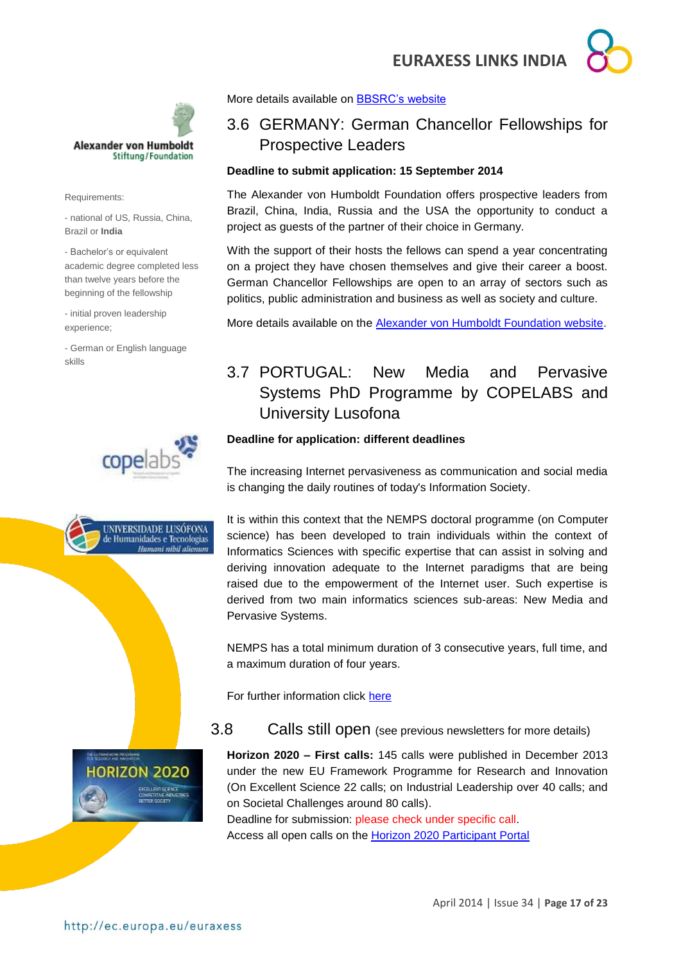

Requirements:

- national of US, Russia, China, Brazil or **India**

- Bachelor's or equivalent academic degree completed less than twelve years before the beginning of the fellowship

- initial proven leadership experience;

- German or English language skills







More details available on [BBSRC's website](http://www.bbsrc.ac.uk/business/people-information/flexible-interchange-programme.aspx?utm_source=feedburner&utm_medium=feed&utm_campaign=Feed%3A+bbsrcfunding+%28BBSRC+-+Funding+opportunities%29)

# <span id="page-16-0"></span>3.6 GERMANY: German Chancellor Fellowships for Prospective Leaders

#### **Deadline to submit application: 15 September 2014**

The Alexander von Humboldt Foundation offers prospective leaders from Brazil, China, India, Russia and the USA the opportunity to conduct a project as guests of the partner of their choice in Germany.

With the support of their hosts the fellows can spend a year concentrating on a project they have chosen themselves and give their career a boost. German Chancellor Fellowships are open to an array of sectors such as politics, public administration and business as well as society and culture.

More details available on the [Alexander von Humboldt Foundation website.](http://www.humboldt-foundation.de/web/4074.html)

# <span id="page-16-1"></span>3.7 PORTUGAL: New Media and Pervasive Systems PhD Programme by COPELABS and University Lusofona

#### **Deadline for application: different deadlines**

The increasing Internet pervasiveness as communication and social media is changing the daily routines of today's Information Society.

It is within this context that the NEMPS doctoral programme (on Computer science) has been developed to train individuals within the context of Informatics Sciences with specific expertise that can assist in solving and deriving innovation adequate to the Internet paradigms that are being raised due to the empowerment of the Internet user. Such expertise is derived from two main informatics sciences sub-areas: New Media and Pervasive Systems.

NEMPS has a total minimum duration of 3 consecutive years, full time, and a maximum duration of four years.

For further information click [here](http://siti.ulusofona.pt/~nemps/index.php?option=com_content&view=article&id=27&Itemid=151&lang=en)

### <span id="page-16-2"></span>3.8 Calls still open (see previous newsletters for more details)

**Horizon 2020 – First calls:** 145 calls were published in December 2013 under the new EU Framework Programme for Research and Innovation (On Excellent Science 22 calls; on Industrial Leadership over 40 calls; and on Societal Challenges around 80 calls).

Deadline for submission: please check under specific call. Access all open calls on the [Horizon 2020 Participant Portal](http://ec.europa.eu/research/participants/portal/desktop/en/opportunities/h2020)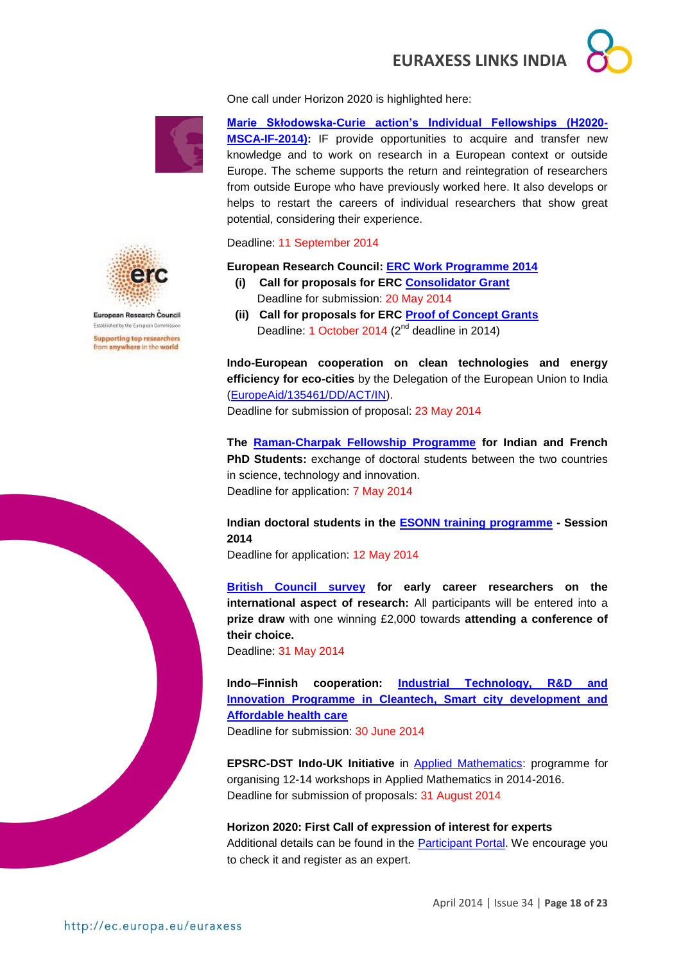

One call under Horizon 2020 is highlighted here:



**[Marie Skłodowska-Curie action's Individual Fellowships \(H2020-](http://ec.europa.eu/research/participants/portal/desktop/en/opportunities/h2020/calls/h2020-msca-if-2014.html#tab2) [MSCA-IF-2014\):](http://ec.europa.eu/research/participants/portal/desktop/en/opportunities/h2020/calls/h2020-msca-if-2014.html#tab2)** IF provide opportunities to acquire and transfer new knowledge and to work on research in a European context or outside Europe. The scheme supports the return and reintegration of researchers from outside Europe who have previously worked here. It also develops or helps to restart the careers of individual researchers that show great potential, considering their experience.

Deadline: 11 September 2014

#### **European Research Council: [ERC Work Programme 2014](http://erc.europa.eu/sites/default/files/document/file/ERC_Work_Programme_2014.pdf)**

- **(i) Call for proposals for ERC [Consolidator Grant](http://ec.europa.eu/research/participants/portal/desktop/en/opportunities/h2020/topics/76-erc-cog-2014.html)** Deadline for submission: 20 May 2014
- **(ii) Call for proposals for ERC [Proof of Concept Grants](http://ec.europa.eu/research/participants/portal/desktop/en/opportunities/h2020/topics/56-erc-poc-2014.html)** Deadline: 1 October 2014 (2<sup>nd</sup> deadline in 2014)

**Indo-European cooperation on clean technologies and energy efficiency for eco-cities** by the Delegation of the European Union to India [\(EuropeAid/135461/DD/ACT/IN\)](https://webgate.ec.europa.eu/europeaid/online-services/index.cfm?do=publi.welcome&nbPubliList=15&orderby=upd&orderbyad=Desc&searchtype=RS&aofr=135461&userlanguage=en).

Deadline for submission of proposal: 23 May 2014

**The [Raman-Charpak Fellowship Programme](http://cefipra.org/raman-charpak/) for Indian and French PhD Students:** exchange of doctoral students between the two countries in science, technology and innovation. Deadline for application: 7 May 2014

**Indian doctoral students in the [ESONN training programme](http://www.cefipra.org/pdf/ESONN_flyer_2014.pdf) - Session 2014**

Deadline for application: 12 May 2014

**[British Council survey](http://www.britishcouncil.org/society/science/questionnaire-prize) for early career researchers on the international aspect of research:** All participants will be entered into a **prize draw** with one winning £2,000 towards **attending a conference of their choice.**

Deadline: 31 May 2014

**Indo–Finnish cooperation: [Industrial Technology, R&D and](http://gita.org.in/funding_country_6.html)  [Innovation Programme in Cleantech, Smart city development and](http://gita.org.in/funding_country_6.html)  [Affordable health care](http://gita.org.in/funding_country_6.html)**

Deadline for submission: 30 June 2014

**EPSRC-DST Indo-UK Initiative** in [Applied Mathematics:](http://www.icms.org.uk/proposals/indo-uk_info) programme for organising 12-14 workshops in Applied Mathematics in 2014-2016. Deadline for submission of proposals: 31 August 2014

**Horizon 2020: First Call of expression of interest for experts** Additional details can be found in the [Participant Portal.](http://ec.europa.eu/research/participants/portal/desktop/en/experts/index.html) We encourage you to check it and register as an expert.



European Research Council Foundation by the Furnisian Commission

Supporting top researchers om anywhere in the world

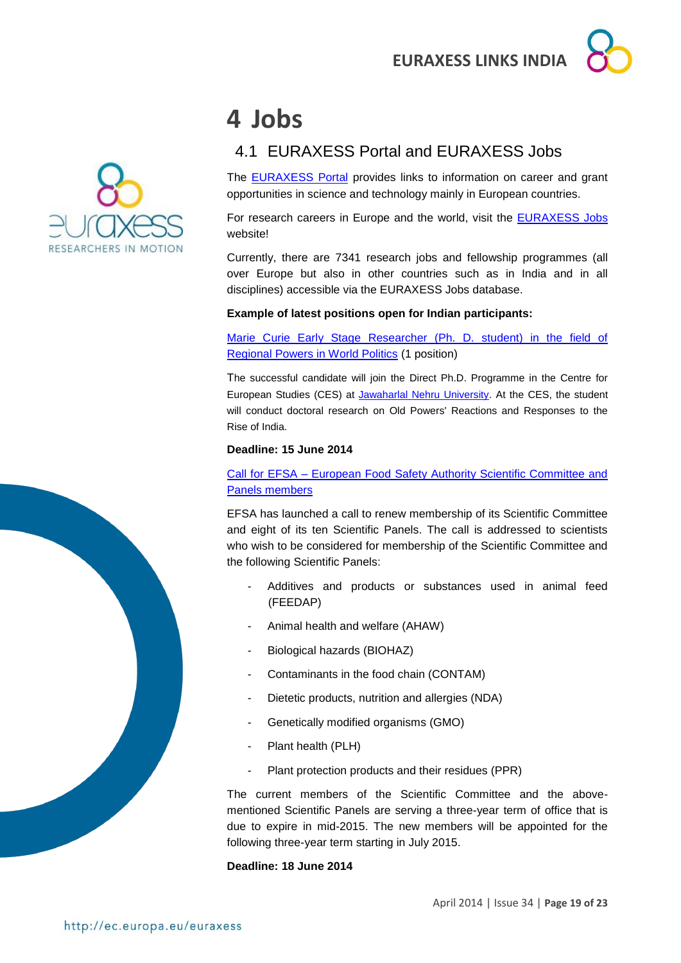

# <span id="page-18-0"></span>**4 Jobs**

# <span id="page-18-1"></span>4.1 EURAXESS Portal and EURAXESS Jobs

The **EURAXESS Portal** provides links to information on career and grant opportunities in science and technology mainly in European countries.

For research careers in Europe and the world, visit the **EURAXESS Jobs** website!

Currently, there are 7341 research jobs and fellowship programmes (all over Europe but also in other countries such as in India and in all disciplines) accessible via the EURAXESS Jobs database.

#### **Example of latest positions open for Indian participants:**

[Marie Curie Early Stage Researcher \(Ph. D. student\) in the field of](http://ec.europa.eu/euraxess/index.cfm/jobs/jobDetails/33904123)  [Regional Powers in World Politics](http://ec.europa.eu/euraxess/index.cfm/jobs/jobDetails/33904123) (1 position)

The successful candidate will join the Direct Ph.D. Programme in the Centre for European Studies (CES) at [Jawaharlal Nehru University.](http://jnu.ac.in/) At the CES, the student will conduct doctoral research on Old Powers' Reactions and Responses to the Rise of India.

#### **Deadline: 15 June 2014**

#### Call for EFSA – [European Food Safety Authority Scientific Committee and](http://www.efsa.europa.eu/en/scpanels/memberscall2011.htm)  [Panels members](http://www.efsa.europa.eu/en/scpanels/memberscall2011.htm)

EFSA has launched a call to renew membership of its Scientific Committee and eight of its ten Scientific Panels. The call is addressed to scientists who wish to be considered for membership of the Scientific Committee and the following Scientific Panels:

- Additives and products or substances used in animal feed (FEEDAP)
- Animal health and welfare (AHAW)
- Biological hazards (BIOHAZ)
- Contaminants in the food chain (CONTAM)
- Dietetic products, nutrition and allergies (NDA)
- Genetically modified organisms (GMO)
- Plant health (PLH)
- Plant protection products and their residues (PPR)

The current members of the Scientific Committee and the abovementioned Scientific Panels are serving a three-year term of office that is due to expire in mid-2015. The new members will be appointed for the following three-year term starting in July 2015.

**Deadline: 18 June 2014**



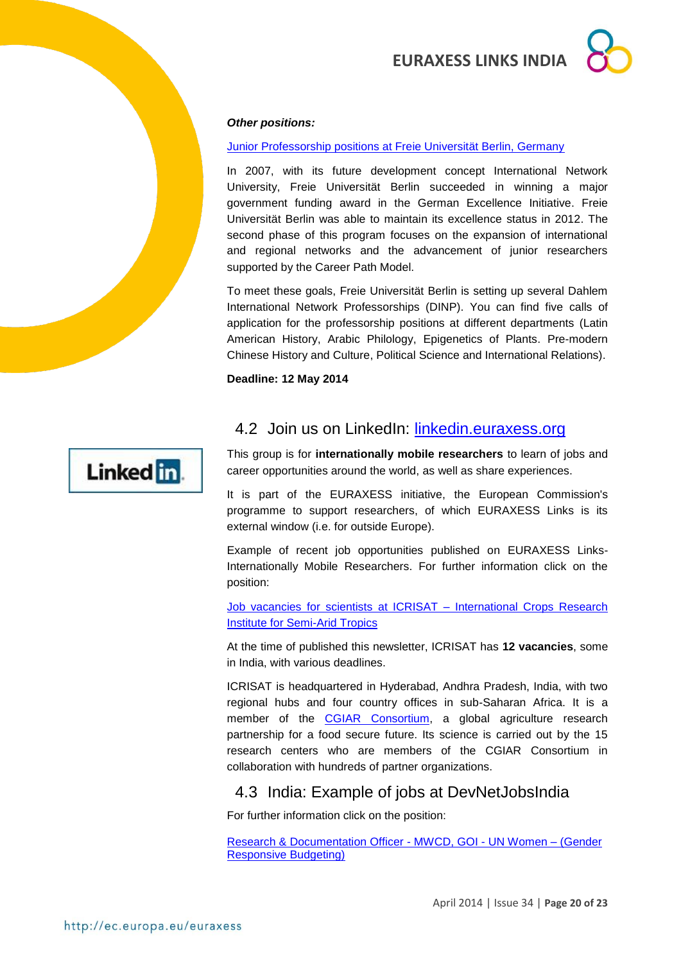

#### *Other positions:*

#### [Junior Professorship positions at Freie Universität Berlin, Germany](http://www.dwih.in/content/applications-invited-junior-professorship-positions-freie-universit%C3%A4t-berlin)

In 2007, with its future development concept International Network University, Freie Universität Berlin succeeded in winning a major government funding award in the German Excellence Initiative. Freie Universität Berlin was able to maintain its excellence status in 2012. The second phase of this program focuses on the expansion of international and regional networks and the advancement of junior researchers supported by the Career Path Model.

To meet these goals, Freie Universität Berlin is setting up several Dahlem International Network Professorships (DINP). You can find five calls of application for the professorship positions at different departments (Latin American History, Arabic Philology, Epigenetics of Plants. Pre-modern Chinese History and Culture, Political Science and International Relations).

**Deadline: 12 May 2014**

# <span id="page-19-0"></span>4.2 Join us on LinkedIn: [linkedin.euraxess.org](../../../../../Downloads/linkedin.euraxess.org)



This group is for **internationally mobile researchers** to learn of jobs and career opportunities around the world, as well as share experiences.

It is part of the EURAXESS initiative, the European Commission's programme to support researchers, of which EURAXESS Links is its external window (i.e. for outside Europe).

Example of recent job opportunities published on EURAXESS Links-Internationally Mobile Researchers. For further information click on the position:

Job vacancies for scientists at ICRISAT – [International Crops Research](http://www.icrisat.org/icrisat-careers.htm)  [Institute for Semi-Arid Tropics](http://www.icrisat.org/icrisat-careers.htm)

At the time of published this newsletter, ICRISAT has **12 vacancies**, some in India, with various deadlines.

ICRISAT is headquartered in Hyderabad, Andhra Pradesh, India, with two regional hubs and four country offices in sub-Saharan Africa. It is a member of the [CGIAR Consortium,](http://www.cgiar.org/) a global agriculture research partnership for a food secure future. Its science is carried out by the 15 research centers who are members of the CGIAR Consortium in collaboration with hundreds of partner organizations.

# <span id="page-19-1"></span>4.3 India: Example of jobs at DevNetJobsIndia

For further information click on the position:

[Research & Documentation Officer -](http://www.devnetjobsindia.org/jobdescription.aspx?job_id=32502) MWCD, GOI - UN Women – (Gender [Responsive Budgeting\)](http://www.devnetjobsindia.org/jobdescription.aspx?job_id=32502)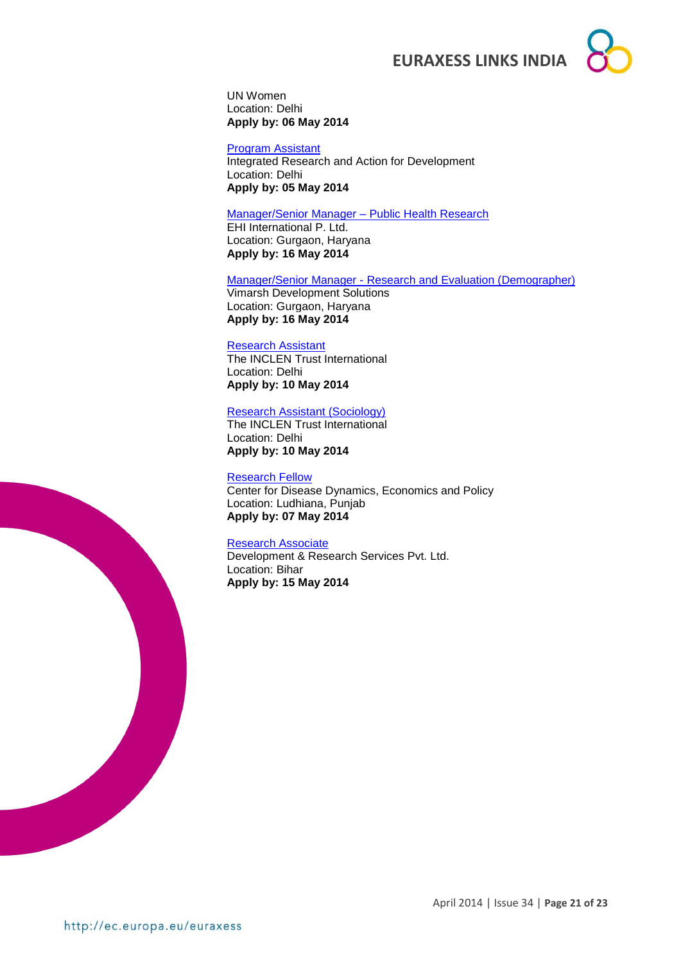

UN Women Location: Delhi **Apply by: 06 May 2014**

[Program Assistant](http://www.devnetjobsindia.org/jobdescription.aspx?job_id=32271) Integrated Research and Action for Development Location: Delhi **Apply by: 05 May 2014**

#### [Manager/Senior Manager –](http://www.devnetjobsindia.org/jobdescription.aspx?job_id=32331) Public Health Research

EHI International P. Ltd. Location: Gurgaon, Haryana **Apply by: 16 May 2014**

#### Manager/Senior Manager - [Research and Evaluation \(Demographer\)](http://www.devnetjobsindia.org/jobdescription.aspx?job_id=32333)

Vimarsh Development Solutions Location: Gurgaon, Haryana **Apply by: 16 May 2014**

#### [Research Assistant](http://www.devnetjobsindia.org/jobdescription.aspx?job_id=32283)

The INCLEN Trust International Location: Delhi **Apply by: 10 May 2014**

#### [Research Assistant \(Sociology\)](http://www.devnetjobsindia.org/jobdescription.aspx?job_id=32284)

The INCLEN Trust International Location: Delhi **Apply by: 10 May 2014**

#### [Research Fellow](http://www.devnetjobsindia.org/jobdescription.aspx?job_id=31922)

Center for Disease Dynamics, Economics and Policy Location: Ludhiana, Punjab **Apply by: 07 May 2014**

#### [Research Associate](http://www.devnetjobsindia.org/jobdescription.aspx?job_id=31763)

Development & Research Services Pvt. Ltd. Location: Bihar **Apply by: 15 May 2014**

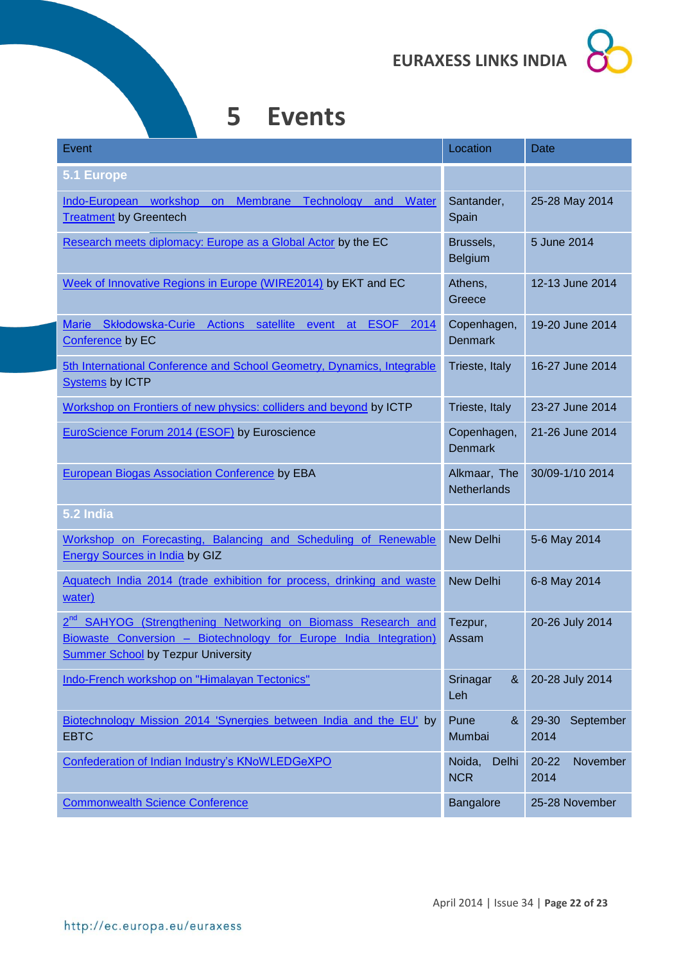



# <span id="page-21-0"></span>**5 Events**

| Event                                                                                                                                                                      | Location                           | <b>Date</b>                   |
|----------------------------------------------------------------------------------------------------------------------------------------------------------------------------|------------------------------------|-------------------------------|
| <b>5.1 Europe</b>                                                                                                                                                          |                                    |                               |
| Membrane<br>Indo-European workshop<br>Technology and<br>Water<br>on<br><b>Treatment by Greentech</b>                                                                       | Santander,<br>Spain                | 25-28 May 2014                |
| Research meets diplomacy: Europe as a Global Actor by the EC                                                                                                               | Brussels,<br>Belgium               | 5 June 2014                   |
| Week of Innovative Regions in Europe (WIRE2014) by EKT and EC                                                                                                              | Athens,<br>Greece                  | 12-13 June 2014               |
| Marie Skłodowska-Curie Actions satellite event at ESOF 2014<br>Conference by EC                                                                                            | Copenhagen,<br><b>Denmark</b>      | 19-20 June 2014               |
| 5th International Conference and School Geometry, Dynamics, Integrable<br><b>Systems by ICTP</b>                                                                           | Trieste, Italy                     | 16-27 June 2014               |
| Workshop on Frontiers of new physics: colliders and beyond by ICTP                                                                                                         | Trieste, Italy                     | 23-27 June 2014               |
| EuroScience Forum 2014 (ESOF) by Euroscience                                                                                                                               | Copenhagen,<br><b>Denmark</b>      | 21-26 June 2014               |
| <b>European Biogas Association Conference by EBA</b>                                                                                                                       | Alkmaar, The<br><b>Netherlands</b> | 30/09-1/10 2014               |
| 5.2 India                                                                                                                                                                  |                                    |                               |
| Workshop on Forecasting, Balancing and Scheduling of Renewable<br><b>Energy Sources in India by GIZ</b>                                                                    | <b>New Delhi</b>                   | 5-6 May 2014                  |
| Aquatech India 2014 (trade exhibition for process, drinking and waste<br>water)                                                                                            | <b>New Delhi</b>                   | 6-8 May 2014                  |
| SAHYOG (Strengthening Networking on Biomass Research and<br>Biowaste Conversion - Biotechnology for Europe India Integration)<br><b>Summer School by Tezpur University</b> | Tezpur,<br>Assam                   | 20-26 July 2014               |
| Indo-French workshop on "Himalayan Tectonics"                                                                                                                              | Srinagar<br>8 <sub>x</sub><br>Leh  | 20-28 July 2014               |
| Biotechnology Mission 2014 'Synergies between India and the EU' by<br><b>EBTC</b>                                                                                          | Pune<br>8 <sub>x</sub><br>Mumbai   | 29-30<br>September<br>2014    |
| Confederation of Indian Industry's KNoWLEDGeXPO                                                                                                                            | Noida,<br>Delhi<br><b>NCR</b>      | November<br>$20 - 22$<br>2014 |
| <b>Commonwealth Science Conference</b>                                                                                                                                     | <b>Bangalore</b>                   | 25-28 November                |